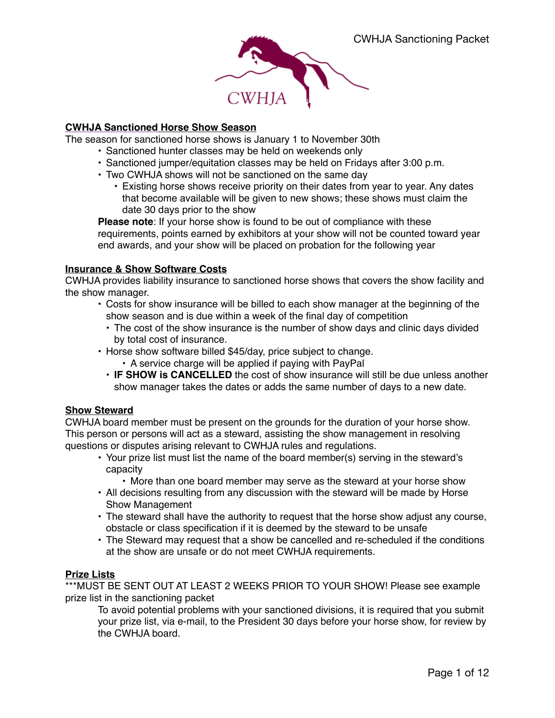

# **CWHJA Sanctioned Horse Show Season**

The season for sanctioned horse shows is January 1 to November 30th

- Sanctioned hunter classes may be held on weekends only
- Sanctioned jumper/equitation classes may be held on Fridays after 3:00 p.m.
- Two CWHJA shows will not be sanctioned on the same day
	- Existing horse shows receive priority on their dates from year to year. Any dates that become available will be given to new shows; these shows must claim the date 30 days prior to the show

**Please note**: If your horse show is found to be out of compliance with these requirements, points earned by exhibitors at your show will not be counted toward year end awards, and your show will be placed on probation for the following year

### **Insurance & Show Software Costs**

CWHJA provides liability insurance to sanctioned horse shows that covers the show facility and the show manager.

- Costs for show insurance will be billed to each show manager at the beginning of the show season and is due within a week of the final day of competition
	- The cost of the show insurance is the number of show days and clinic days divided by total cost of insurance.
- Horse show software billed \$45/day, price subject to change.
	- A service charge will be applied if paying with PayPal
	- **IF SHOW is CANCELLED** the cost of show insurance will still be due unless another show manager takes the dates or adds the same number of days to a new date.

# **Show Steward**

CWHJA board member must be present on the grounds for the duration of your horse show. This person or persons will act as a steward, assisting the show management in resolving questions or disputes arising relevant to CWHJA rules and regulations.

- Your prize list must list the name of the board member(s) serving in the steward's capacity
	- More than one board member may serve as the steward at your horse show
- All decisions resulting from any discussion with the steward will be made by Horse Show Management
- The steward shall have the authority to request that the horse show adjust any course, obstacle or class specification if it is deemed by the steward to be unsafe
- The Steward may request that a show be cancelled and re-scheduled if the conditions at the show are unsafe or do not meet CWHJA requirements.

# **Prize Lists**

\*\*\*MUST BE SENT OUT AT LEAST 2 WEEKS PRIOR TO YOUR SHOW! Please see example prize list in the sanctioning packet

To avoid potential problems with your sanctioned divisions, it is required that you submit your prize list, via e-mail, to the President 30 days before your horse show, for review by the CWHJA board.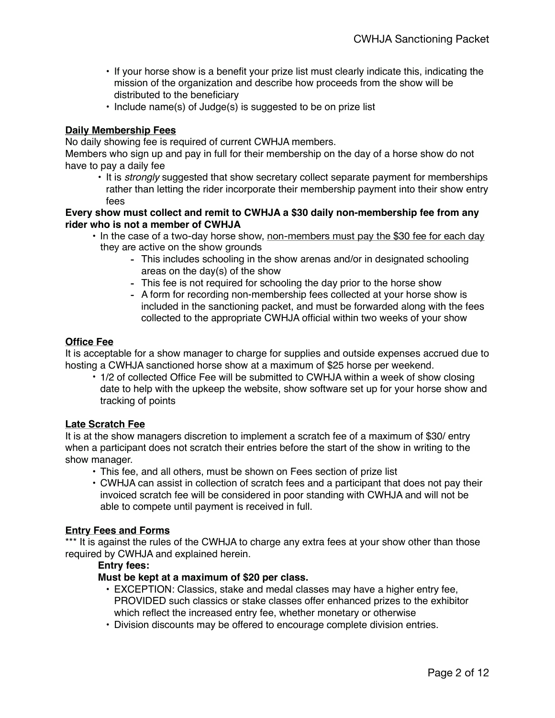- If your horse show is a benefit your prize list must clearly indicate this, indicating the mission of the organization and describe how proceeds from the show will be distributed to the beneficiary
- Include name(s) of Judge(s) is suggested to be on prize list

# **Daily Membership Fees**

No daily showing fee is required of current CWHJA members.

Members who sign up and pay in full for their membership on the day of a horse show do not have to pay a daily fee

• It is *strongly* suggested that show secretary collect separate payment for memberships rather than letting the rider incorporate their membership payment into their show entry fees

# **Every show must collect and remit to CWHJA a \$30 daily non-membership fee from any rider who is not a member of CWHJA**

- In the case of a two-day horse show, non-members must pay the \$30 fee for each day they are active on the show grounds
	- This includes schooling in the show arenas and/or in designated schooling areas on the day(s) of the show
	- This fee is not required for schooling the day prior to the horse show
	- A form for recording non-membership fees collected at your horse show is included in the sanctioning packet, and must be forwarded along with the fees collected to the appropriate CWHJA official within two weeks of your show

# **Office Fee**

It is acceptable for a show manager to charge for supplies and outside expenses accrued due to hosting a CWHJA sanctioned horse show at a maximum of \$25 horse per weekend.

• 1/2 of collected Office Fee will be submitted to CWHJA within a week of show closing date to help with the upkeep the website, show software set up for your horse show and tracking of points

# **Late Scratch Fee**

It is at the show managers discretion to implement a scratch fee of a maximum of \$30/ entry when a participant does not scratch their entries before the start of the show in writing to the show manager.

- This fee, and all others, must be shown on Fees section of prize list
- CWHJA can assist in collection of scratch fees and a participant that does not pay their invoiced scratch fee will be considered in poor standing with CWHJA and will not be able to compete until payment is received in full.

### **Entry Fees and Forms**

\*\*\* It is against the rules of the CWHJA to charge any extra fees at your show other than those required by CWHJA and explained herein.

### **Entry fees:**

### **Must be kept at a maximum of \$20 per class.**

- EXCEPTION: Classics, stake and medal classes may have a higher entry fee, PROVIDED such classics or stake classes offer enhanced prizes to the exhibitor which reflect the increased entry fee, whether monetary or otherwise
- Division discounts may be offered to encourage complete division entries.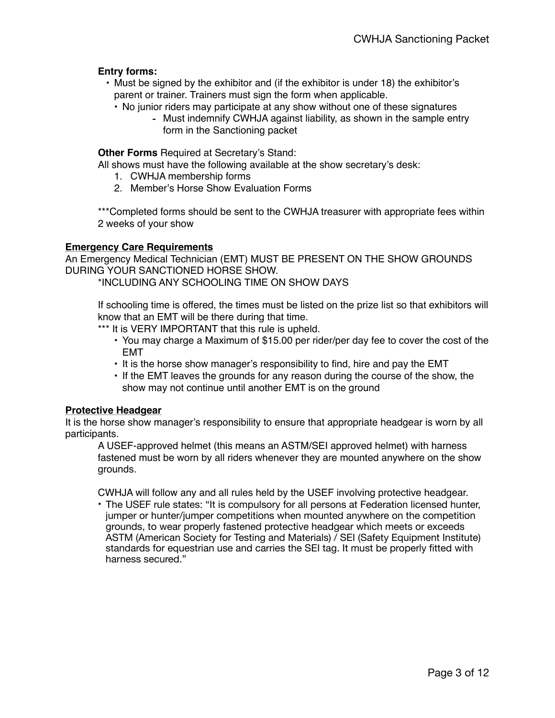# **Entry forms:**

- Must be signed by the exhibitor and (if the exhibitor is under 18) the exhibitor's parent or trainer. Trainers must sign the form when applicable.
	- No junior riders may participate at any show without one of these signatures
		- Must indemnify CWHJA against liability, as shown in the sample entry form in the Sanctioning packet

**Other Forms** Required at Secretary's Stand:

All shows must have the following available at the show secretary's desk:

- 1. CWHJA membership forms
- 2. Member's Horse Show Evaluation Forms

\*\*\*Completed forms should be sent to the CWHJA treasurer with appropriate fees within 2 weeks of your show

# **Emergency Care Requirements**

An Emergency Medical Technician (EMT) MUST BE PRESENT ON THE SHOW GROUNDS DURING YOUR SANCTIONED HORSE SHOW.

\*INCLUDING ANY SCHOOLING TIME ON SHOW DAYS

If schooling time is offered, the times must be listed on the prize list so that exhibitors will know that an EMT will be there during that time.

\*\*\* It is VERY IMPORTANT that this rule is upheld.

- You may charge a Maximum of \$15.00 per rider/per day fee to cover the cost of the EMT
- It is the horse show manager's responsibility to find, hire and pay the EMT
- If the EMT leaves the grounds for any reason during the course of the show, the show may not continue until another EMT is on the ground

### **Protective Headgear**

It is the horse show manager's responsibility to ensure that appropriate headgear is worn by all participants.

A USEF-approved helmet (this means an ASTM/SEI approved helmet) with harness fastened must be worn by all riders whenever they are mounted anywhere on the show grounds.

CWHJA will follow any and all rules held by the USEF involving protective headgear.

• The USEF rule states: "It is compulsory for all persons at Federation licensed hunter, jumper or hunter/jumper competitions when mounted anywhere on the competition grounds, to wear properly fastened protective headgear which meets or exceeds ASTM (American Society for Testing and Materials) / SEI (Safety Equipment Institute) standards for equestrian use and carries the SEI tag. It must be properly fitted with harness secured."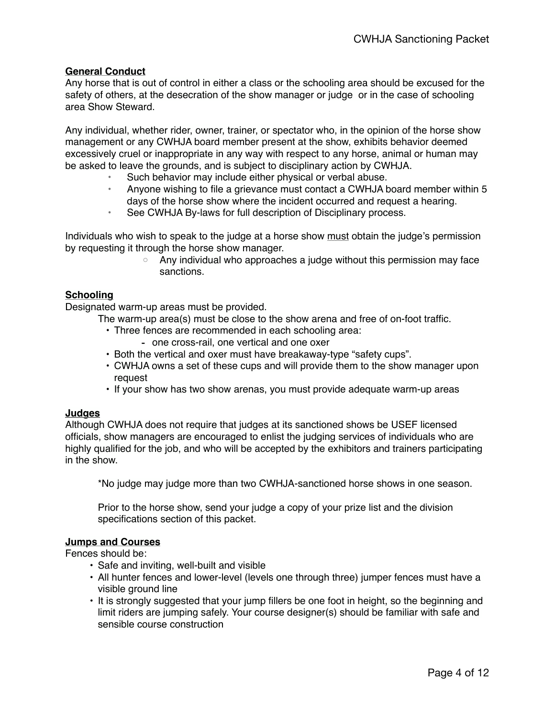# **General Conduct**

Any horse that is out of control in either a class or the schooling area should be excused for the safety of others, at the desecration of the show manager or judge or in the case of schooling area Show Steward.

Any individual, whether rider, owner, trainer, or spectator who, in the opinion of the horse show management or any CWHJA board member present at the show, exhibits behavior deemed excessively cruel or inappropriate in any way with respect to any horse, animal or human may be asked to leave the grounds, and is subject to disciplinary action by CWHJA.

- Such behavior may include either physical or verbal abuse.
- Anyone wishing to file a grievance must contact a CWHJA board member within 5 days of the horse show where the incident occurred and request a hearing.
- See CWHJA By-laws for full description of Disciplinary process.

Individuals who wish to speak to the judge at a horse show must obtain the judge's permission by requesting it through the horse show manager.

> ◦ Any individual who approaches a judge without this permission may face sanctions.

### **Schooling**

Designated warm-up areas must be provided.

- The warm-up area(s) must be close to the show arena and free of on-foot traffic.
	- Three fences are recommended in each schooling area:
		- one cross-rail, one vertical and one oxer
	- Both the vertical and oxer must have breakaway-type "safety cups".
	- CWHJA owns a set of these cups and will provide them to the show manager upon request
	- If your show has two show arenas, you must provide adequate warm-up areas

### **Judges**

Although CWHJA does not require that judges at its sanctioned shows be USEF licensed officials, show managers are encouraged to enlist the judging services of individuals who are highly qualified for the job, and who will be accepted by the exhibitors and trainers participating in the show.

\*No judge may judge more than two CWHJA-sanctioned horse shows in one season.

Prior to the horse show, send your judge a copy of your prize list and the division specifications section of this packet.

# **Jumps and Courses**

Fences should be:

- Safe and inviting, well-built and visible
- All hunter fences and lower-level (levels one through three) jumper fences must have a visible ground line
- It is strongly suggested that your jump fillers be one foot in height, so the beginning and limit riders are jumping safely. Your course designer(s) should be familiar with safe and sensible course construction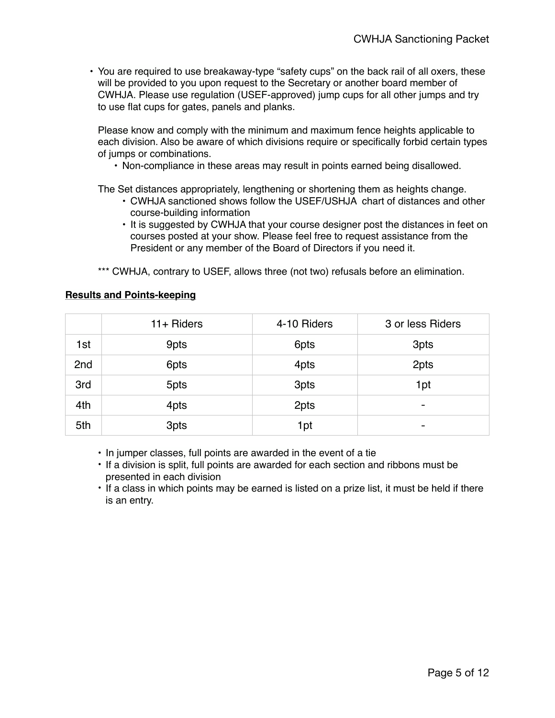• You are required to use breakaway-type "safety cups" on the back rail of all oxers, these will be provided to you upon request to the Secretary or another board member of CWHJA. Please use regulation (USEF-approved) jump cups for all other jumps and try to use flat cups for gates, panels and planks.

Please know and comply with the minimum and maximum fence heights applicable to each division. Also be aware of which divisions require or specifically forbid certain types of jumps or combinations.

• Non-compliance in these areas may result in points earned being disallowed.

The Set distances appropriately, lengthening or shortening them as heights change.

- CWHJA sanctioned shows follow the USEF/USHJA chart of distances and other course-building information
- It is suggested by CWHJA that your course designer post the distances in feet on courses posted at your show. Please feel free to request assistance from the President or any member of the Board of Directors if you need it.

\*\*\* CWHJA, contrary to USEF, allows three (not two) refusals before an elimination.

# **Results and Points-keeping**

|                 | $11 +$ Riders | 4-10 Riders | 3 or less Riders         |
|-----------------|---------------|-------------|--------------------------|
| 1st             | 9pts          | 6pts        | 3pts                     |
| 2 <sub>nd</sub> | 6pts          | 4pts        | 2pts                     |
| 3rd             | 5pts          | 3pts        | 1pt                      |
| 4th             | 4pts          | 2pts        | $\overline{\phantom{0}}$ |
| 5th             | 3pts          | 1pt         | $\overline{\phantom{0}}$ |

• In jumper classes, full points are awarded in the event of a tie

- If a division is split, full points are awarded for each section and ribbons must be presented in each division
- If a class in which points may be earned is listed on a prize list, it must be held if there is an entry.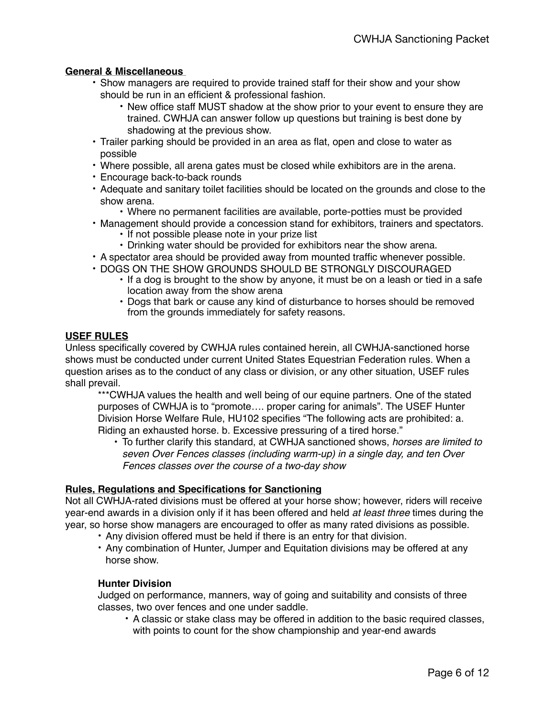# **General & Miscellaneous**

- Show managers are required to provide trained staff for their show and your show should be run in an efficient & professional fashion.
	- New office staff MUST shadow at the show prior to your event to ensure they are trained. CWHJA can answer follow up questions but training is best done by shadowing at the previous show.
- Trailer parking should be provided in an area as flat, open and close to water as possible
- Where possible, all arena gates must be closed while exhibitors are in the arena.
- Encourage back-to-back rounds
- Adequate and sanitary toilet facilities should be located on the grounds and close to the show arena.
	- Where no permanent facilities are available, porte-potties must be provided
- Management should provide a concession stand for exhibitors, trainers and spectators. • If not possible please note in your prize list
	- Drinking water should be provided for exhibitors near the show arena.
- A spectator area should be provided away from mounted traffic whenever possible.
- DOGS ON THE SHOW GROUNDS SHOULD BE STRONGLY DISCOURAGED
	- If a dog is brought to the show by anyone, it must be on a leash or tied in a safe location away from the show arena
	- Dogs that bark or cause any kind of disturbance to horses should be removed from the grounds immediately for safety reasons.

# **USEF RULES**

Unless specifically covered by CWHJA rules contained herein, all CWHJA-sanctioned horse shows must be conducted under current United States Equestrian Federation rules. When a question arises as to the conduct of any class or division, or any other situation, USEF rules shall prevail.

\*\*\*CWHJA values the health and well being of our equine partners. One of the stated purposes of CWHJA is to "promote…. proper caring for animals". The USEF Hunter Division Horse Welfare Rule, HU102 specifies "The following acts are prohibited: a. Riding an exhausted horse. b. Excessive pressuring of a tired horse."

• To further clarify this standard, at CWHJA sanctioned shows, *horses are limited to seven Over Fences classes (including warm-up) in a single day, and ten Over Fences classes over the course of a two-day show*

### **Rules, Regulations and Specifications for Sanctioning**

Not all CWHJA-rated divisions must be offered at your horse show; however, riders will receive year-end awards in a division only if it has been offered and held *at least three* times during the year, so horse show managers are encouraged to offer as many rated divisions as possible.

- Any division offered must be held if there is an entry for that division.
- Any combination of Hunter, Jumper and Equitation divisions may be offered at any horse show.

### **Hunter Division**

Judged on performance, manners, way of going and suitability and consists of three classes, two over fences and one under saddle.

• A classic or stake class may be offered in addition to the basic required classes, with points to count for the show championship and year-end awards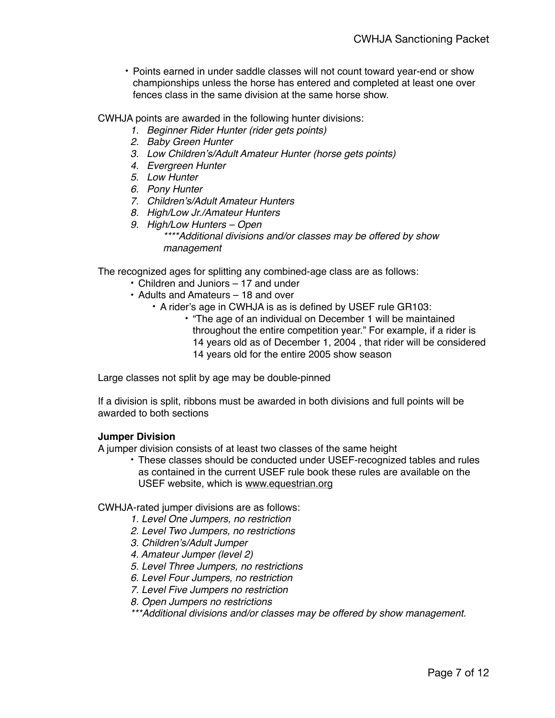• Points earned in under saddle classes will not count toward year-end or show championships unless the horse has entered and completed at least one over fences class in the same division at the same horse show.

CWHJA points are awarded in the following hunter divisions:

- *1. Beginner Rider Hunter (rider gets points)*
- *2. Baby Green Hunter*
- *3. Low Children's/Adult Amateur Hunter (horse gets points)*
- *4. Evergreen Hunter*
- *5. Low Hunter*
- *6. Pony Hunter*
- *7. Children's/Adult Amateur Hunters*
- *8. High/Low Jr./Amateur Hunters*
- *9. High/Low Hunters Open \*\*\*\*Additional divisions and/or classes may be offered by show management*

The recognized ages for splitting any combined-age class are as follows:

- Children and Juniors 17 and under
- Adults and Amateurs 18 and over
	- A rider's age in CWHJA is as is defined by USEF rule GR103:
		- "The age of an individual on December 1 will be maintained throughout the entire competition year." For example, if a rider is 14 years old as of December 1, 2004 , that rider will be considered 14 years old for the entire 2005 show season

Large classes not split by age may be double-pinned

If a division is split, ribbons must be awarded in both divisions and full points will be awarded to both sections

### **Jumper Division**

A jumper division consists of at least two classes of the same height

• These classes should be conducted under USEF-recognized tables and rules as contained in the current USEF rule book these rules are available on the USEF website, which is [www.equestrian.org](http://www.equestrian.org)

CWHJA-rated jumper divisions are as follows:

- *1. Level One Jumpers, no restriction*
- *2. Level Two Jumpers, no restrictions*
- *3. Children's/Adult Jumper*
- *4. Amateur Jumper (level 2)*
- *5. Level Three Jumpers, no restrictions*
- *6. Level Four Jumpers, no restriction*
- *7. Level Five Jumpers no restriction*
- *8. Open Jumpers no restrictions*

*\*\*\*Additional divisions and/or classes may be offered by show management.*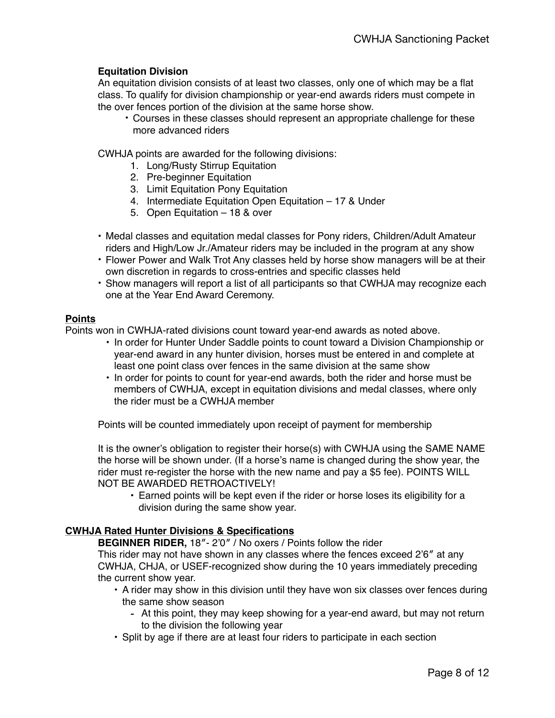# **Equitation Division**

An equitation division consists of at least two classes, only one of which may be a flat class. To qualify for division championship or year-end awards riders must compete in the over fences portion of the division at the same horse show.

• Courses in these classes should represent an appropriate challenge for these more advanced riders

CWHJA points are awarded for the following divisions:

- 1. Long/Rusty Stirrup Equitation
- 2. Pre-beginner Equitation
- 3. Limit Equitation Pony Equitation
- 4. Intermediate Equitation Open Equitation 17 & Under
- 5. Open Equitation 18 & over
- Medal classes and equitation medal classes for Pony riders, Children/Adult Amateur riders and High/Low Jr./Amateur riders may be included in the program at any show
- Flower Power and Walk Trot Any classes held by horse show managers will be at their own discretion in regards to cross-entries and specific classes held
- Show managers will report a list of all participants so that CWHJA may recognize each one at the Year End Award Ceremony.

### **Points**

Points won in CWHJA-rated divisions count toward year-end awards as noted above.

- In order for Hunter Under Saddle points to count toward a Division Championship or year-end award in any hunter division, horses must be entered in and complete at least one point class over fences in the same division at the same show
- In order for points to count for year-end awards, both the rider and horse must be members of CWHJA, except in equitation divisions and medal classes, where only the rider must be a CWHJA member

Points will be counted immediately upon receipt of payment for membership

It is the owner's obligation to register their horse(s) with CWHJA using the SAME NAME the horse will be shown under. (If a horse's name is changed during the show year, the rider must re-register the horse with the new name and pay a \$5 fee). POINTS WILL NOT BE AWARDED RETROACTIVELY!

• Earned points will be kept even if the rider or horse loses its eligibility for a division during the same show year.

# **CWHJA Rated Hunter Divisions & Specifications**

**BEGINNER RIDER,** 18″- 2'0″ / No oxers / Points follow the rider

This rider may not have shown in any classes where the fences exceed 2'6″ at any CWHJA, CHJA, or USEF-recognized show during the 10 years immediately preceding the current show year.

- A rider may show in this division until they have won six classes over fences during the same show season
	- At this point, they may keep showing for a year-end award, but may not return to the division the following year
- Split by age if there are at least four riders to participate in each section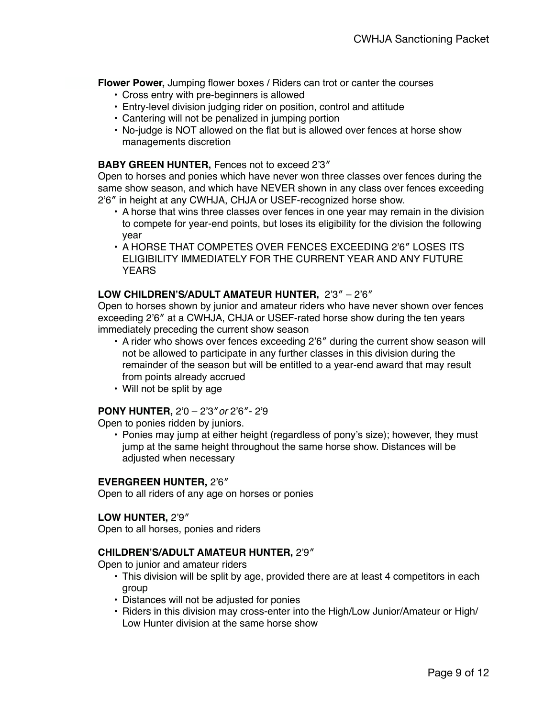**Flower Power,** Jumping flower boxes / Riders can trot or canter the courses

- Cross entry with pre-beginners is allowed
- Entry-level division judging rider on position, control and attitude
- Cantering will not be penalized in jumping portion
- No-judge is NOT allowed on the flat but is allowed over fences at horse show managements discretion

# **BABY GREEN HUNTER,** Fences not to exceed 2'3″

Open to horses and ponies which have never won three classes over fences during the same show season, and which have NEVER shown in any class over fences exceeding 2'6″ in height at any CWHJA, CHJA or USEF-recognized horse show.

- A horse that wins three classes over fences in one year may remain in the division to compete for year-end points, but loses its eligibility for the division the following year
- A HORSE THAT COMPETES OVER FENCES EXCEEDING 2'6″ LOSES ITS ELIGIBILITY IMMEDIATELY FOR THE CURRENT YEAR AND ANY FUTURE **YFARS**

# **LOW CHILDREN'S/ADULT AMATEUR HUNTER,** 2'3″ – 2'6″

Open to horses shown by junior and amateur riders who have never shown over fences exceeding 2'6″ at a CWHJA, CHJA or USEF-rated horse show during the ten years immediately preceding the current show season

- A rider who shows over fences exceeding 2'6″ during the current show season will not be allowed to participate in any further classes in this division during the remainder of the season but will be entitled to a year-end award that may result from points already accrued
- Will not be split by age

### **PONY HUNTER,** 2'0 – 2'3″*or* 2'6″- 2'9

Open to ponies ridden by juniors.

• Ponies may jump at either height (regardless of pony's size); however, they must jump at the same height throughout the same horse show. Distances will be adjusted when necessary

### **EVERGREEN HUNTER,** 2'6″

Open to all riders of any age on horses or ponies

### **LOW HUNTER,** 2'9″

Open to all horses, ponies and riders

### **CHILDREN'S/ADULT AMATEUR HUNTER,** 2'9″

Open to junior and amateur riders

- This division will be split by age, provided there are at least 4 competitors in each group
- Distances will not be adjusted for ponies
- Riders in this division may cross-enter into the High/Low Junior/Amateur or High/ Low Hunter division at the same horse show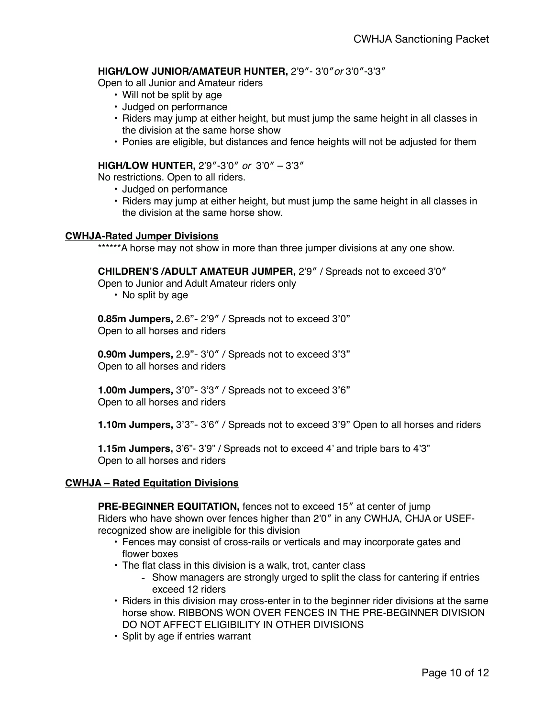# **HIGH/LOW JUNIOR/AMATEUR HUNTER,** 2'9″- 3'0″*or* 3'0″-3'3″

Open to all Junior and Amateur riders

- Will not be split by age
- Judged on performance
- Riders may jump at either height, but must jump the same height in all classes in the division at the same horse show
- Ponies are eligible, but distances and fence heights will not be adjusted for them

### **HIGH/LOW HUNTER,** 2'9″-3'0″ *or* 3'0″ – 3'3″

No restrictions. Open to all riders.

- Judged on performance
- Riders may jump at either height, but must jump the same height in all classes in the division at the same horse show.

#### **CWHJA-Rated Jumper Divisions**

\*\*\*\*\*\*A horse may not show in more than three jumper divisions at any one show.

**CHILDREN'S /ADULT AMATEUR JUMPER,** 2'9″ / Spreads not to exceed 3'0″

Open to Junior and Adult Amateur riders only

• No split by age

**0.85m Jumpers,** 2.6"- 2'9″ / Spreads not to exceed 3'0" Open to all horses and riders

**0.90m Jumpers,** 2.9"- 3'0″ / Spreads not to exceed 3'3" Open to all horses and riders

**1.00m Jumpers,** 3'0"- 3'3″ / Spreads not to exceed 3'6" Open to all horses and riders

**1.10m Jumpers,** 3'3"- 3'6″ / Spreads not to exceed 3'9" Open to all horses and riders

**1.15m Jumpers,** 3'6"- 3'9" / Spreads not to exceed 4' and triple bars to 4'3" Open to all horses and riders

### **CWHJA – Rated Equitation Divisions**

**PRE-BEGINNER EQUITATION,** fences not to exceed 15″ at center of jump

Riders who have shown over fences higher than 2'0″ in any CWHJA, CHJA or USEFrecognized show are ineligible for this division

- Fences may consist of cross-rails or verticals and may incorporate gates and flower boxes
- The flat class in this division is a walk, trot, canter class
	- Show managers are strongly urged to split the class for cantering if entries exceed 12 riders
- Riders in this division may cross-enter in to the beginner rider divisions at the same horse show. RIBBONS WON OVER FENCES IN THE PRE-BEGINNER DIVISION DO NOT AFFECT ELIGIBILITY IN OTHER DIVISIONS
- Split by age if entries warrant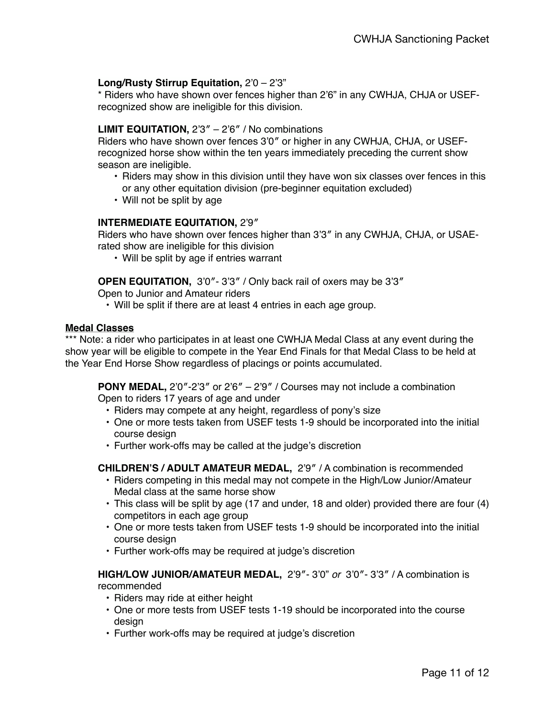# **Long/Rusty Stirrup Equitation,** 2'0 – 2'3"

\* Riders who have shown over fences higher than 2'6" in any CWHJA, CHJA or USEFrecognized show are ineligible for this division.

### **LIMIT EQUITATION,** 2'3″ – 2'6″ / No combinations

Riders who have shown over fences 3'0″ or higher in any CWHJA, CHJA, or USEFrecognized horse show within the ten years immediately preceding the current show season are ineligible.

- Riders may show in this division until they have won six classes over fences in this or any other equitation division (pre-beginner equitation excluded)
- Will not be split by age

### **INTERMEDIATE EQUITATION,** 2'9″

Riders who have shown over fences higher than 3'3″ in any CWHJA, CHJA, or USAErated show are ineligible for this division

• Will be split by age if entries warrant

**OPEN EQUITATION,** 3'0″- 3'3″ / Only back rail of oxers may be 3'3″

Open to Junior and Amateur riders

• Will be split if there are at least 4 entries in each age group.

#### **Medal Classes**

\*\*\* Note: a rider who participates in at least one CWHJA Medal Class at any event during the show year will be eligible to compete in the Year End Finals for that Medal Class to be held at the Year End Horse Show regardless of placings or points accumulated.

**PONY MEDAL,** 2'0″-2'3″ or 2'6″ – 2'9″ / Courses may not include a combination Open to riders 17 years of age and under

- Riders may compete at any height, regardless of pony's size
- One or more tests taken from USEF tests 1-9 should be incorporated into the initial course design
- Further work-offs may be called at the judge's discretion

**CHILDREN'S / ADULT AMATEUR MEDAL,** 2'9″ / A combination is recommended

- Riders competing in this medal may not compete in the High/Low Junior/Amateur Medal class at the same horse show
- This class will be split by age (17 and under, 18 and older) provided there are four (4) competitors in each age group
- One or more tests taken from USEF tests 1-9 should be incorporated into the initial course design
- Further work-offs may be required at judge's discretion

**HIGH/LOW JUNIOR/AMATEUR MEDAL,** 2'9″- 3'0" *or* 3'0″- 3'3″ / A combination is recommended

- Riders may ride at either height
- One or more tests from USEF tests 1-19 should be incorporated into the course design
- Further work-offs may be required at judge's discretion